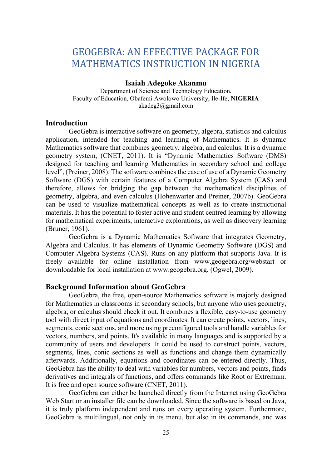# GEOGEBRA: AN EFFECTIVE PACKAGE FOR MATHEMATICS INSTRUCTION IN NIGERIA

## Isaiah Adegoke Akanmu

Department of Science and Technology Education, Faculty of Education, Obafemi Awolowo University, Ile-Ife, NIGERIA akadeg3@gmail.com

## **Introduction**

GeoGebra is interactive software on geometry, algebra, statistics and calculus application, intended for teaching and learning of Mathematics. It is dynamic Mathematics software that combines geometry, algebra, and calculus. It is a dynamic geometry system, (CNET, 2011). It is "Dynamic Mathematics Software (DMS) designed for teaching and learning Mathematics in secondary school and college level", (Preiner, 2008). The software combines the ease of use of a Dynamic Geometry Software (DGS) with certain features of a Computer Algebra System (CAS) and therefore, allows for bridging the gap between the mathematical disciplines of geometry, algebra, and even calculus (Hohenwarter and Preiner, 2007b). GeoGebra can be used to visualize mathematical concepts as well as to create instructional materials. It has the potential to foster active and student centred learning by allowing for mathematical experiments, interactive explorations, as well as discovery learning (Bruner, 1961).

 GeoGebra is a Dynamic Mathematics Software that integrates Geometry, Algebra and Calculus. It has elements of Dynamic Geometry Software (DGS) and Computer Algebra Systems (CAS). Runs on any platform that supports Java. It is freely available for online installation from www.geogebra.org/webstart or downloadable for local installation at www.geogebra.org. (Ogwel, 2009).

## Background Information about GeoGebra

GeoGebra, the free, open-source Mathematics software is majorly designed for Mathematics in classrooms in secondary schools, but anyone who uses geometry, algebra, or calculus should check it out. It combines a flexible, easy-to-use geometry tool with direct input of equations and coordinates. It can create points, vectors, lines, segments, conic sections, and more using preconfigured tools and handle variables for vectors, numbers, and points. It's available in many languages and is supported by a community of users and developers. It could be used to construct points, vectors, segments, lines, conic sections as well as functions and change them dynamically afterwards. Additionally, equations and coordinates can be entered directly. Thus, GeoGebra has the ability to deal with variables for numbers, vectors and points, finds derivatives and integrals of functions, and offers commands like Root or Extremum. It is free and open source software (CNET, 2011).

 GeoGebra can either be launched directly from the Internet using GeoGebra Web Start or an installer file can be downloaded. Since the software is based on Java, it is truly platform independent and runs on every operating system. Furthermore, GeoGebra is multilingual, not only in its menu, but also in its commands, and was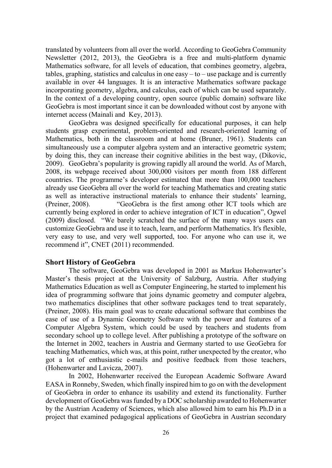translated by volunteers from all over the world. According to GeoGebra Community Newsletter (2012, 2013), the GeoGebra is a free and multi-platform dynamic Mathematics software, for all levels of education, that combines geometry, algebra, tables, graphing, statistics and calculus in one easy  $-$  to  $-$  use package and is currently available in over 44 languages. It is an interactive Mathematics software package incorporating geometry, algebra, and calculus, each of which can be used separately. In the context of a developing country, open source (public domain) software like GeoGebra is most important since it can be downloaded without cost by anyone with internet access (Mainali and Key, 2013).

 GeoGebra was designed specifically for educational purposes, it can help students grasp experimental, problem-oriented and research-oriented learning of Mathematics, both in the classroom and at home (Bruner, 1961). Students can simultaneously use a computer algebra system and an interactive geometric system; by doing this, they can increase their cognitive abilities in the best way, (Dikovic, 2009). GeoGebra's popularity is growing rapidly all around the world. As of March, 2008, its webpage received about 300,000 visitors per month from 188 different countries. The programme's developer estimated that more than 100,000 teachers already use GeoGebra all over the world for teaching Mathematics and creating static as well as interactive instructional materials to enhance their students' learning, (Preiner, 2008). "GeoGebra is the first among other ICT tools which are currently being explored in order to achieve integration of ICT in education", Ogwel (2009) disclosed. "We barely scratched the surface of the many ways users can customize GeoGebra and use it to teach, learn, and perform Mathematics. It's flexible, very easy to use, and very well supported, too. For anyone who can use it, we recommend it", CNET (2011) recommended.

#### Short History of GeoGebra

The software, GeoGebra was developed in 2001 as Markus Hohenwarter's Master's thesis project at the University of Salzburg, Austria. After studying Mathematics Education as well as Computer Engineering, he started to implement his idea of programming software that joins dynamic geometry and computer algebra, two mathematics disciplines that other software packages tend to treat separately, (Preiner, 2008). His main goal was to create educational software that combines the ease of use of a Dynamic Geometry Software with the power and features of a Computer Algebra System, which could be used by teachers and students from secondary school up to college level. After publishing a prototype of the software on the Internet in 2002, teachers in Austria and Germany started to use GeoGebra for teaching Mathematics, which was, at this point, rather unexpected by the creator, who got a lot of enthusiastic e-mails and positive feedback from those teachers, (Hohenwarter and Lavicza, 2007).

 In 2002, Hohenwarter received the European Academic Software Award EASA in Ronneby, Sweden, which finally inspired him to go on with the development of GeoGebra in order to enhance its usability and extend its functionality. Further development of GeoGebra was funded by a DOC scholarship awarded to Hohenwarter by the Austrian Academy of Sciences, which also allowed him to earn his Ph.D in a project that examined pedagogical applications of GeoGebra in Austrian secondary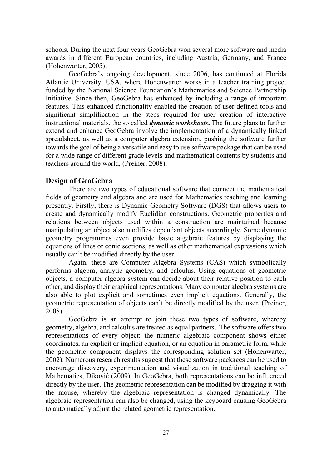schools. During the next four years GeoGebra won several more software and media awards in different European countries, including Austria, Germany, and France (Hohenwarter, 2005).

 GeoGebra's ongoing development, since 2006, has continued at Florida Atlantic University, USA, where Hohenwarter works in a teacher training project funded by the National Science Foundation's Mathematics and Science Partnership Initiative. Since then, GeoGebra has enhanced by including a range of important features. This enhanced functionality enabled the creation of user defined tools and significant simplification in the steps required for user creation of interactive instructional materials, the so called *dynamic worksheets*. The future plans to further extend and enhance GeoGebra involve the implementation of a dynamically linked spreadsheet, as well as a computer algebra extension, pushing the software further towards the goal of being a versatile and easy to use software package that can be used for a wide range of different grade levels and mathematical contents by students and teachers around the world, (Preiner, 2008).

#### Design of GeoGebra

There are two types of educational software that connect the mathematical fields of geometry and algebra and are used for Mathematics teaching and learning presently. Firstly, there is Dynamic Geometry Software (DGS) that allows users to create and dynamically modify Euclidian constructions. Geometric properties and relations between objects used within a construction are maintained because manipulating an object also modifies dependant objects accordingly. Some dynamic geometry programmes even provide basic algebraic features by displaying the equations of lines or conic sections, as well as other mathematical expressions which usually can't be modified directly by the user.

 Again, there are Computer Algebra Systems (CAS) which symbolically performs algebra, analytic geometry, and calculus. Using equations of geometric objects, a computer algebra system can decide about their relative position to each other, and display their graphical representations. Many computer algebra systems are also able to plot explicit and sometimes even implicit equations. Generally, the geometric representation of objects can't be directly modified by the user, (Preiner, 2008).

 GeoGebra is an attempt to join these two types of software, whereby geometry, algebra, and calculus are treated as equal partners. The software offers two representations of every object: the numeric algebraic component shows either coordinates, an explicit or implicit equation, or an equation in parametric form, while the geometric component displays the corresponding solution set (Hohenwarter, 2002). Numerous research results suggest that these software packages can be used to encourage discovery, experimentation and visualization in traditional teaching of Mathematics, Diković (2009). In GeoGebra, both representations can be influenced directly by the user. The geometric representation can be modified by dragging it with the mouse, whereby the algebraic representation is changed dynamically. The algebraic representation can also be changed, using the keyboard causing GeoGebra to automatically adjust the related geometric representation.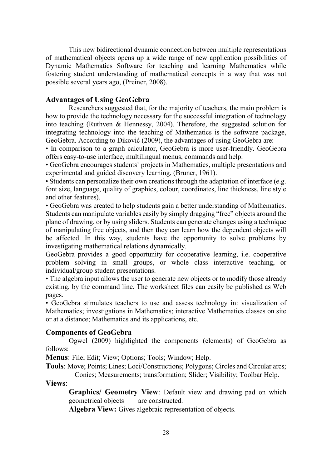This new bidirectional dynamic connection between multiple representations of mathematical objects opens up a wide range of new application possibilities of Dynamic Mathematics Software for teaching and learning Mathematics while fostering student understanding of mathematical concepts in a way that was not possible several years ago, (Preiner, 2008).

## Advantages of Using GeoGebra

Researchers suggested that, for the majority of teachers, the main problem is how to provide the technology necessary for the successful integration of technology into teaching (Ruthven & Hennessy, 2004). Therefore, the suggested solution for integrating technology into the teaching of Mathematics is the software package, GeoGebra. According to Diković (2009), the advantages of using GeoGebra are:

• In comparison to a graph calculator, GeoGebra is more user-friendly. GeoGebra offers easy-to-use interface, multilingual menus, commands and help.

• GeoGebra encourages students` projects in Mathematics, multiple presentations and experimental and guided discovery learning, (Bruner, 1961).

• Students can personalize their own creations through the adaptation of interface (e.g. font size, language, quality of graphics, colour, coordinates, line thickness, line style and other features).

• GeoGebra was created to help students gain a better understanding of Mathematics. Students can manipulate variables easily by simply dragging "free" objects around the plane of drawing, or by using sliders. Students can generate changes using a technique of manipulating free objects, and then they can learn how the dependent objects will be affected. In this way, students have the opportunity to solve problems by investigating mathematical relations dynamically.

GeoGebra provides a good opportunity for cooperative learning, i.e. cooperative problem solving in small groups, or whole class interactive teaching, or individual/group student presentations.

• The algebra input allows the user to generate new objects or to modify those already existing, by the command line. The worksheet files can easily be published as Web pages.

• GeoGebra stimulates teachers to use and assess technology in: visualization of Mathematics; investigations in Mathematics; interactive Mathematics classes on site or at a distance; Mathematics and its applications, etc.

#### Components of GeoGebra

Ogwel (2009) highlighted the components (elements) of GeoGebra as follows:

Menus: File; Edit; View; Options; Tools; Window; Help.

Tools: Move; Points; Lines; Loci/Constructions; Polygons; Circles and Circular arcs; Conics; Measurements; transformation; Slider; Visibility; Toolbar Help.

Views:

Graphics/ Geometry View: Default view and drawing pad on which geometrical objects are constructed.

Algebra View: Gives algebraic representation of objects.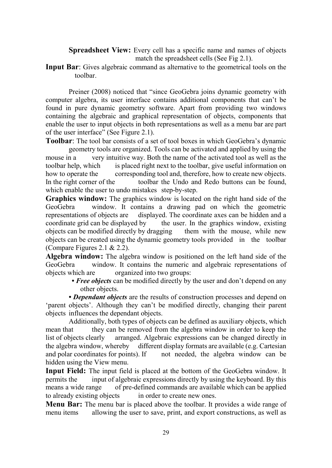Spreadsheet View: Every cell has a specific name and names of objects match the spreadsheet cells (See Fig 2.1).

Input Bar: Gives algebraic command as alternative to the geometrical tools on the toolbar.

Preiner (2008) noticed that "since GeoGebra joins dynamic geometry with computer algebra, its user interface contains additional components that can't be found in pure dynamic geometry software. Apart from providing two windows containing the algebraic and graphical representation of objects, components that enable the user to input objects in both representations as well as a menu bar are part of the user interface" (See Figure 2.1).

Toolbar: The tool bar consists of a set of tool boxes in which GeoGebra's dynamic geometry tools are organized. Tools can be activated and applied by using the

mouse in a very intuitive way. Both the name of the activated tool as well as the toolbar help, which is placed right next to the toolbar, give useful information on how to operate the corresponding tool and, therefore, how to create new objects. In the right corner of the toolbar the Undo and Redo buttons can be found, which enable the user to undo mistakes step-by-step.

Graphics window: The graphics window is located on the right hand side of the GeoGebra window. It contains a drawing pad on which the geometric representations of objects are displayed. The coordinate axes can be hidden and a coordinate grid can be displayed by the user. In the graphics window, existing objects can be modified directly by dragging them with the mouse, while new objects can be created using the dynamic geometry tools provided in the toolbar (Compare Figures 2.1 & 2.2).

Algebra window: The algebra window is positioned on the left hand side of the GeoGebra window. It contains the numeric and algebraic representations of objects which are organized into two groups:

> • Free objects can be modified directly by the user and don't depend on any other objects.

• Dependant objects are the results of construction processes and depend on 'parent objects'. Although they can't be modified directly, changing their parent objects influences the dependant objects.

 Additionally, both types of objects can be defined as auxiliary objects, which mean that they can be removed from the algebra window in order to keep the list of objects clearly arranged. Algebraic expressions can be changed directly in the algebra window, whereby different display formats are available (e.g. Cartesian and polar coordinates for points). If not needed, the algebra window can be hidden using the View menu.

Input Field: The input field is placed at the bottom of the GeoGebra window. It permits the input of algebraic expressions directly by using the keyboard. By this means a wide range of pre-defined commands are available which can be applied to already existing objects in order to create new ones.

**Menu Bar:** The menu bar is placed above the toolbar. It provides a wide range of menu items allowing the user to save, print, and export constructions, as well as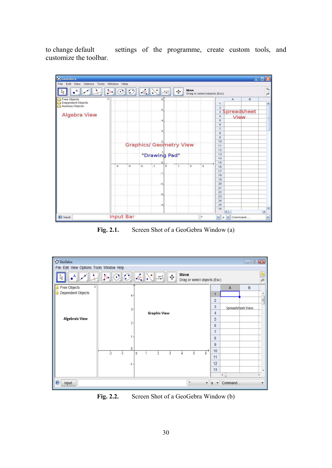to change default settings of the programme, create custom tools, and customize the toolbar.



Fig. 2.1. Screen Shot of a GeoGebra Window (a)



Fig. 2.2. Screen Shot of a GeoGebra Window (b)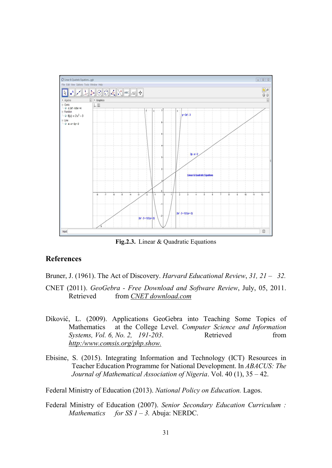

Fig.2.3. Linear & Quadratic Equations

## References

Bruner, J. (1961). The Act of Discovery. Harvard Educational Review, 31, 21 – 32.

- CNET (2011). GeoGebra Free Download and Software Review, July, 05, 2011. Retrieved from CNET download.com
- Diković, L. (2009). Applications GeoGebra into Teaching Some Topics of Mathematics at the College Level. Computer Science and Information Systems, Vol. 6, No. 2, 191-203. Retrieved from http:/www.comsis.org/php.show.
- Ebisine, S. (2015). Integrating Information and Technology (ICT) Resources in Teacher Education Programme for National Development. In ABACUS: The Journal of Mathematical Association of Nigeria. Vol. 40 (1), 35 – 42.

Federal Ministry of Education (2013). National Policy on Education. Lagos.

Federal Ministry of Education (2007). Senior Secondary Education Curriculum : Mathematics for SS  $1 - 3$ . Abuja: NERDC.